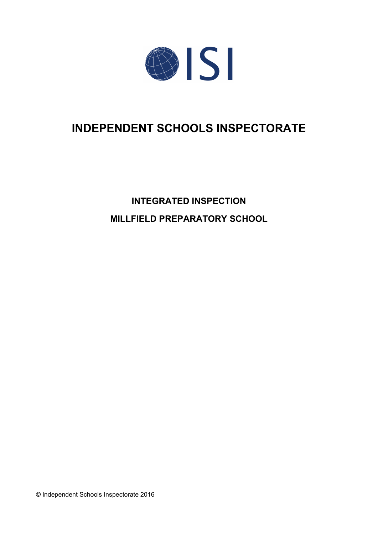

# **INDEPENDENT SCHOOLS INSPECTORATE**

**INTEGRATED INSPECTION MILLFIELD PREPARATORY SCHOOL**

© Independent Schools Inspectorate 2016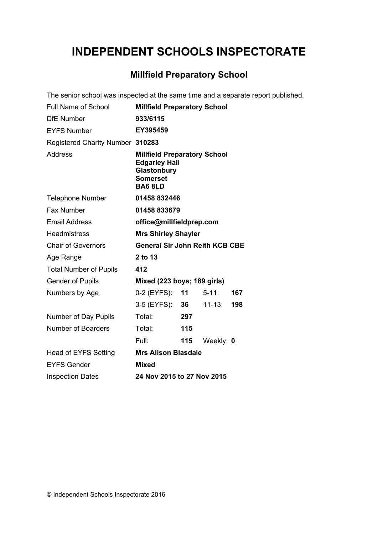# **INDEPENDENT SCHOOLS INSPECTORATE**

# **Millfield Preparatory School**

The senior school was inspected at the same time and a separate report published.

| <b>Full Name of School</b>       | <b>Millfield Preparatory School</b>                                                                             |     |            |     |
|----------------------------------|-----------------------------------------------------------------------------------------------------------------|-----|------------|-----|
| <b>DfE</b> Number                | 933/6115                                                                                                        |     |            |     |
| <b>EYFS Number</b>               | EY395459                                                                                                        |     |            |     |
| Registered Charity Number 310283 |                                                                                                                 |     |            |     |
| <b>Address</b>                   | <b>Millfield Preparatory School</b><br><b>Edgarley Hall</b><br>Glastonbury<br><b>Somerset</b><br><b>BA6 8LD</b> |     |            |     |
| <b>Telephone Number</b>          | 01458 832446                                                                                                    |     |            |     |
| Fax Number                       | 01458 833679                                                                                                    |     |            |     |
| <b>Email Address</b>             | office@millfieldprep.com                                                                                        |     |            |     |
| <b>Headmistress</b>              | <b>Mrs Shirley Shayler</b>                                                                                      |     |            |     |
| <b>Chair of Governors</b>        | <b>General Sir John Reith KCB CBE</b>                                                                           |     |            |     |
| Age Range                        | 2 to 13                                                                                                         |     |            |     |
| <b>Total Number of Pupils</b>    | 412                                                                                                             |     |            |     |
| <b>Gender of Pupils</b>          | Mixed (223 boys; 189 girls)                                                                                     |     |            |     |
| Numbers by Age                   | 0-2 (EYFS):                                                                                                     | 11  | $5 - 11$ : | 167 |
|                                  | 3-5 (EYFS): 36                                                                                                  |     | $11 - 13:$ | 198 |
| Number of Day Pupils             | Total:                                                                                                          | 297 |            |     |
| <b>Number of Boarders</b>        | Total:                                                                                                          | 115 |            |     |
|                                  | Full:                                                                                                           | 115 | Weekly: 0  |     |
| <b>Head of EYFS Setting</b>      | <b>Mrs Alison Blasdale</b>                                                                                      |     |            |     |
| <b>EYFS Gender</b>               | <b>Mixed</b>                                                                                                    |     |            |     |
| <b>Inspection Dates</b>          | 24 Nov 2015 to 27 Nov 2015                                                                                      |     |            |     |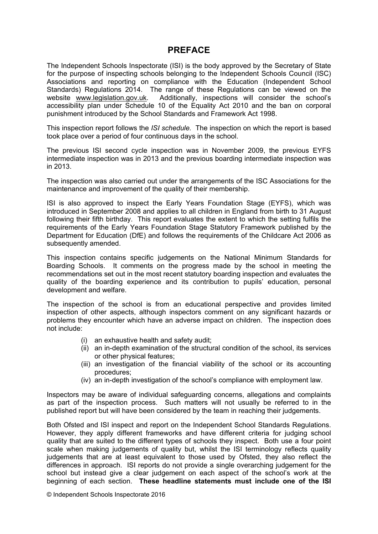# **PREFACE**

The Independent Schools Inspectorate (ISI) is the body approved by the Secretary of State for the purpose of inspecting schools belonging to the Independent Schools Council (ISC) Associations and reporting on compliance with the Education (Independent School Standards) Regulations 2014. The range of these Regulations can be viewed on the website [www.legislation.gov.uk.](http://www.legislation.gov.uk) Additionally, inspections will consider the school's accessibility plan under Schedule 10 of the Equality Act 2010 and the ban on corporal punishment introduced by the School Standards and Framework Act 1998.

This inspection report follows the *ISI schedule.* The inspection on which the report is based took place over a period of four continuous days in the school.

The previous ISI second cycle inspection was in November 2009, the previous EYFS intermediate inspection was in 2013 and the previous boarding intermediate inspection was in 2013.

The inspection was also carried out under the arrangements of the ISC Associations for the maintenance and improvement of the quality of their membership.

ISI is also approved to inspect the Early Years Foundation Stage (EYFS), which was introduced in September 2008 and applies to all children in England from birth to 31 August following their fifth birthday. This report evaluates the extent to which the setting fulfils the requirements of the Early Years Foundation Stage Statutory Framework published by the Department for Education (DfE) and follows the requirements of the Childcare Act 2006 as subsequently amended.

This inspection contains specific judgements on the National Minimum Standards for Boarding Schools. It comments on the progress made by the school in meeting the recommendations set out in the most recent statutory boarding inspection and evaluates the quality of the boarding experience and its contribution to pupils' education, personal development and welfare.

The inspection of the school is from an educational perspective and provides limited inspection of other aspects, although inspectors comment on any significant hazards or problems they encounter which have an adverse impact on children. The inspection does not include:

- (i) an exhaustive health and safety audit;
- (ii) an in-depth examination of the structural condition of the school, its services or other physical features;
- (iii) an investigation of the financial viability of the school or its accounting procedures;
- (iv) an in-depth investigation of the school's compliance with employment law.

Inspectors may be aware of individual safeguarding concerns, allegations and complaints as part of the inspection process. Such matters will not usually be referred to in the published report but will have been considered by the team in reaching their judgements.

Both Ofsted and ISI inspect and report on the Independent School Standards Regulations. However, they apply different frameworks and have different criteria for judging school quality that are suited to the different types of schools they inspect. Both use a four point scale when making judgements of quality but, whilst the ISI terminology reflects quality judgements that are at least equivalent to those used by Ofsted, they also reflect the differences in approach. ISI reports do not provide a single overarching judgement for the school but instead give a clear judgement on each aspect of the school's work at the beginning of each section. **These headline statements must include one of the ISI**

© Independent Schools Inspectorate 2016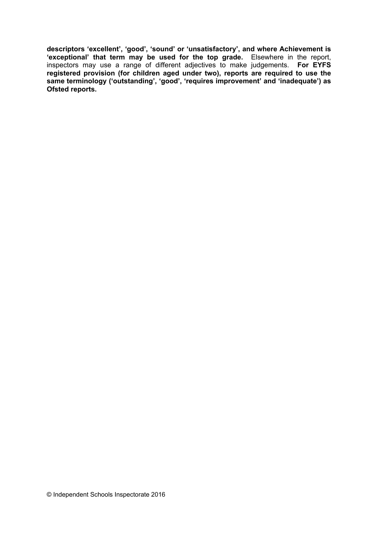**descriptors 'excellent', 'good', 'sound' or 'unsatisfactory', and where Achievement is 'exceptional' that term may be used for the top grade.** Elsewhere in the report, inspectors may use a range of different adjectives to make judgements. **For EYFS registered provision (for children aged under two), reports are required to use the same terminology ('outstanding', 'good', 'requires improvement' and 'inadequate') as Ofsted reports.**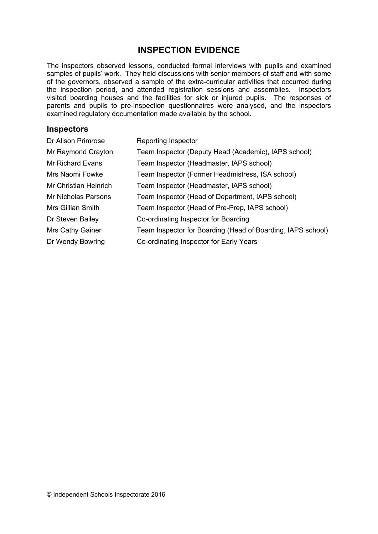# **INSPECTION EVIDENCE**

The inspectors observed lessons, conducted formal interviews with pupils and examined samples of pupils' work. They held discussions with senior members of staff and with some of the governors, observed a sample of the extra-curricular activities that occurred during the inspection period, and attended registration sessions and assemblies. Inspectors visited boarding houses and the facilities for sick or injured pupils. The responses of parents and pupils to pre-inspection questionnaires were analysed, and the inspectors examined regulatory documentation made available by the school.

### **Inspectors**

| Dr Alison Primrose    | Reporting Inspector                                         |
|-----------------------|-------------------------------------------------------------|
| Mr Raymond Crayton    | Team Inspector (Deputy Head (Academic), IAPS school)        |
| Mr Richard Evans      | Team Inspector (Headmaster, IAPS school)                    |
| Mrs Naomi Fowke       | Team Inspector (Former Headmistress, ISA school)            |
| Mr Christian Heinrich | Team Inspector (Headmaster, IAPS school)                    |
| Mr Nicholas Parsons   | Team Inspector (Head of Department, IAPS school)            |
| Mrs Gillian Smith     | Team Inspector (Head of Pre-Prep, IAPS school)              |
| Dr Steven Bailey      | Co-ordinating Inspector for Boarding                        |
| Mrs Cathy Gainer      | Team Inspector for Boarding (Head of Boarding, IAPS school) |
| Dr Wendy Bowring      | Co-ordinating Inspector for Early Years                     |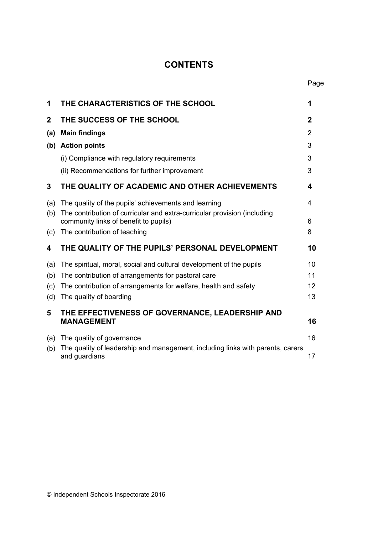# **CONTENTS**

| 1            | THE CHARACTERISTICS OF THE SCHOOL                                                                                                | 1           |
|--------------|----------------------------------------------------------------------------------------------------------------------------------|-------------|
| $\mathbf{2}$ | THE SUCCESS OF THE SCHOOL                                                                                                        | $\mathbf 2$ |
| (a)          | <b>Main findings</b>                                                                                                             | 2           |
|              | (b) Action points                                                                                                                | 3           |
|              | (i) Compliance with regulatory requirements                                                                                      | 3           |
|              | (ii) Recommendations for further improvement                                                                                     | 3           |
| 3            | THE QUALITY OF ACADEMIC AND OTHER ACHIEVEMENTS                                                                                   | 4           |
| (a)<br>(b)   | The quality of the pupils' achievements and learning<br>The contribution of curricular and extra-curricular provision (including | 4           |
|              | community links of benefit to pupils)                                                                                            | 6           |
| (c)          | The contribution of teaching                                                                                                     | 8           |
| 4            | THE QUALITY OF THE PUPILS' PERSONAL DEVELOPMENT                                                                                  | 10          |
| (a)          | The spiritual, moral, social and cultural development of the pupils                                                              | 10          |
| (b)          | The contribution of arrangements for pastoral care                                                                               | 11          |
| (c)          | The contribution of arrangements for welfare, health and safety                                                                  | 12          |
| (d)          | The quality of boarding                                                                                                          | 13          |
| 5            | THE EFFECTIVENESS OF GOVERNANCE, LEADERSHIP AND<br><b>MANAGEMENT</b>                                                             | 16          |
| (a)<br>(b)   | The quality of governance<br>The quality of leadership and management, including links with parents, carers<br>and guardians     | 16<br>17    |
|              |                                                                                                                                  |             |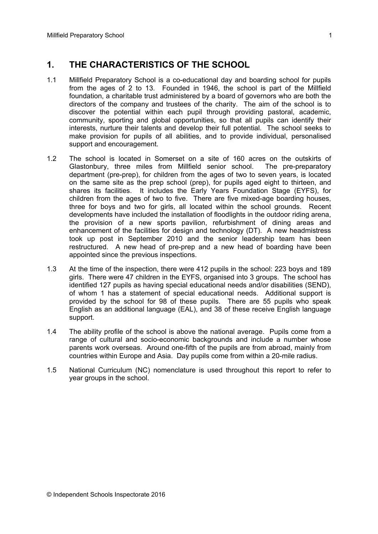# **1. THE CHARACTERISTICS OF THE SCHOOL**

- 1.1 Millfield Preparatory School is a co-educational day and boarding school for pupils from the ages of 2 to 13. Founded in 1946, the school is part of the Millfield foundation, a charitable trust administered by a board of governors who are both the directors of the company and trustees of the charity. The aim of the school is to discover the potential within each pupil through providing pastoral, academic, community, sporting and global opportunities, so that all pupils can identify their interests, nurture their talents and develop their full potential. The school seeks to make provision for pupils of all abilities, and to provide individual, personalised support and encouragement.
- 1.2 The school is located in Somerset on a site of 160 acres on the outskirts of Glastonbury, three miles from Millfield senior school. The pre-preparatory department (pre-prep), for children from the ages of two to seven years, is located on the same site as the prep school (prep), for pupils aged eight to thirteen, and shares its facilities. It includes the Early Years Foundation Stage (EYFS), for children from the ages of two to five. There are five mixed-age boarding houses, three for boys and two for girls, all located within the school grounds. Recent developments have included the installation of floodlights in the outdoor riding arena, the provision of a new sports pavilion, refurbishment of dining areas and enhancement of the facilities for design and technology (DT). A new headmistress took up post in September 2010 and the senior leadership team has been restructured. A new head of pre-prep and a new head of boarding have been appointed since the previous inspections.
- 1.3 At the time of the inspection, there were 412 pupils in the school: 223 boys and 189 girls. There were 47 children in the EYFS, organised into 3 groups. The school has identified 127 pupils as having special educational needs and/or disabilities (SEND), of whom 1 has a statement of special educational needs. Additional support is provided by the school for 98 of these pupils. There are 55 pupils who speak English as an additional language (EAL), and 38 of these receive English language support.
- 1.4 The ability profile of the school is above the national average. Pupils come from a range of cultural and socio-economic backgrounds and include a number whose parents work overseas. Around one-fifth of the pupils are from abroad, mainly from countries within Europe and Asia. Day pupils come from within a 20-mile radius.
- 1.5 National Curriculum (NC) nomenclature is used throughout this report to refer to year groups in the school.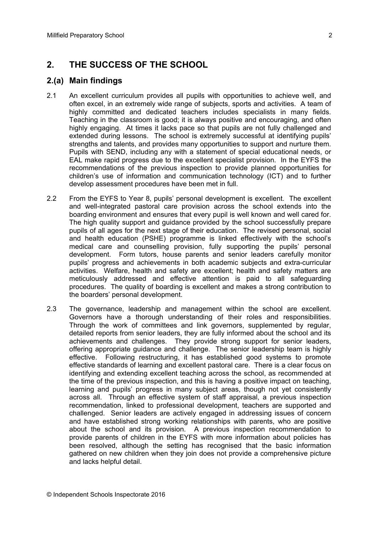# **2. THE SUCCESS OF THE SCHOOL**

### **2.(a) Main findings**

- 2.1 An excellent curriculum provides all pupils with opportunities to achieve well, and often excel, in an extremely wide range of subjects, sports and activities. A team of highly committed and dedicated teachers includes specialists in many fields. Teaching in the classroom is good; it is always positive and encouraging, and often highly engaging. At times it lacks pace so that pupils are not fully challenged and extended during lessons. The school is extremely successful at identifying pupils' strengths and talents, and provides many opportunities to support and nurture them. Pupils with SEND, including any with a statement of special educational needs, or EAL make rapid progress due to the excellent specialist provision. In the EYFS the recommendations of the previous inspection to provide planned opportunities for children's use of information and communication technology (ICT) and to further develop assessment procedures have been met in full.
- 2.2 From the EYFS to Year 8, pupils' personal development is excellent. The excellent and well-integrated pastoral care provision across the school extends into the boarding environment and ensures that every pupil is well known and well cared for. The high quality support and guidance provided by the school successfully prepare pupils of all ages for the next stage of their education. The revised personal, social and health education (PSHE) programme is linked effectively with the school's medical care and counselling provision, fully supporting the pupils' personal development. Form tutors, house parents and senior leaders carefully monitor pupils' progress and achievements in both academic subjects and extra-curricular activities. Welfare, health and safety are excellent; health and safety matters are meticulously addressed and effective attention is paid to all safeguarding procedures. The quality of boarding is excellent and makes a strong contribution to the boarders' personal development.
- 2.3 The governance, leadership and management within the school are excellent. Governors have a thorough understanding of their roles and responsibilities. Through the work of committees and link governors, supplemented by regular, detailed reports from senior leaders, they are fully informed about the school and its achievements and challenges. They provide strong support for senior leaders, offering appropriate guidance and challenge. The senior leadership team is highly effective. Following restructuring, it has established good systems to promote effective standards of learning and excellent pastoral care. There is a clear focus on identifying and extending excellent teaching across the school, as recommended at the time of the previous inspection, and this is having a positive impact on teaching, learning and pupils' progress in many subject areas, though not yet consistently across all. Through an effective system of staff appraisal, a previous inspection recommendation, linked to professional development, teachers are supported and challenged. Senior leaders are actively engaged in addressing issues of concern and have established strong working relationships with parents, who are positive about the school and its provision. A previous inspection recommendation to provide parents of children in the EYFS with more information about policies has been resolved, although the setting has recognised that the basic information gathered on new children when they join does not provide a comprehensive picture and lacks helpful detail.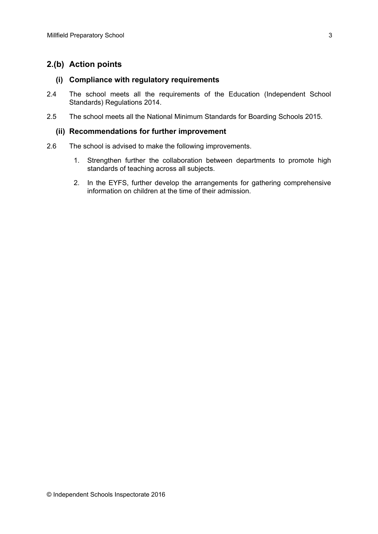# **2.(b) Action points**

#### **(i) Compliance with regulatory requirements**

- 2.4 The school meets all the requirements of the Education (Independent School Standards) Regulations 2014.
- 2.5 The school meets all the National Minimum Standards for Boarding Schools 2015.

#### **(ii) Recommendations for further improvement**

- 2.6 The school is advised to make the following improvements.
	- 1. Strengthen further the collaboration between departments to promote high standards of teaching across all subjects.
	- 2. In the EYFS, further develop the arrangements for gathering comprehensive information on children at the time of their admission.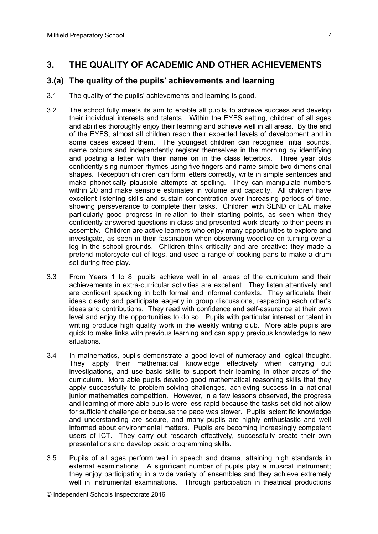# **3. THE QUALITY OF ACADEMIC AND OTHER ACHIEVEMENTS**

#### **3.(a) The quality of the pupils' achievements and learning**

- 3.1 The quality of the pupils' achievements and learning is good.
- 3.2 The school fully meets its aim to enable all pupils to achieve success and develop their individual interests and talents. Within the EYFS setting, children of all ages and abilities thoroughly enjoy their learning and achieve well in all areas. By the end of the EYFS, almost all children reach their expected levels of development and in some cases exceed them. The youngest children can recognise initial sounds, name colours and independently register themselves in the morning by identifying and posting a letter with their name on in the class letterbox. Three year olds confidently sing number rhymes using five fingers and name simple two-dimensional shapes. Reception children can form letters correctly, write in simple sentences and make phonetically plausible attempts at spelling. They can manipulate numbers within 20 and make sensible estimates in volume and capacity. All children have excellent listening skills and sustain concentration over increasing periods of time, showing perseverance to complete their tasks. Children with SEND or EAL make particularly good progress in relation to their starting points, as seen when they confidently answered questions in class and presented work clearly to their peers in assembly. Children are active learners who enjoy many opportunities to explore and investigate, as seen in their fascination when observing woodlice on turning over a log in the school grounds. Children think critically and are creative: they made a pretend motorcycle out of logs, and used a range of cooking pans to make a drum set during free play.
- 3.3 From Years 1 to 8, pupils achieve well in all areas of the curriculum and their achievements in extra-curricular activities are excellent. They listen attentively and are confident speaking in both formal and informal contexts. They articulate their ideas clearly and participate eagerly in group discussions, respecting each other's ideas and contributions. They read with confidence and self-assurance at their own level and enjoy the opportunities to do so. Pupils with particular interest or talent in writing produce high quality work in the weekly writing club. More able pupils are quick to make links with previous learning and can apply previous knowledge to new situations.
- 3.4 In mathematics, pupils demonstrate a good level of numeracy and logical thought. They apply their mathematical knowledge effectively when carrying out investigations, and use basic skills to support their learning in other areas of the curriculum. More able pupils develop good mathematical reasoning skills that they apply successfully to problem-solving challenges, achieving success in a national junior mathematics competition. However, in a few lessons observed, the progress and learning of more able pupils were less rapid because the tasks set did not allow for sufficient challenge or because the pace was slower. Pupils' scientific knowledge and understanding are secure, and many pupils are highly enthusiastic and well informed about environmental matters. Pupils are becoming increasingly competent users of ICT. They carry out research effectively, successfully create their own presentations and develop basic programming skills.
- 3.5 Pupils of all ages perform well in speech and drama, attaining high standards in external examinations. A significant number of pupils play a musical instrument; they enjoy participating in a wide variety of ensembles and they achieve extremely well in instrumental examinations. Through participation in theatrical productions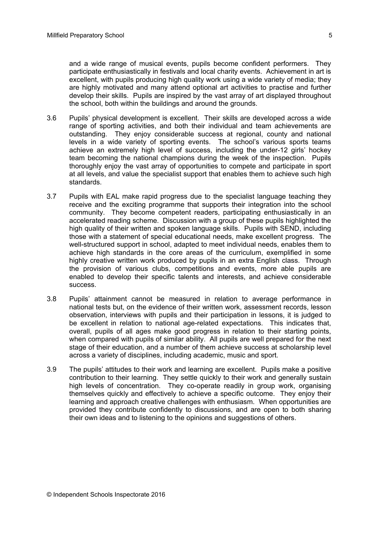and a wide range of musical events, pupils become confident performers. They participate enthusiastically in festivals and local charity events. Achievement in art is excellent, with pupils producing high quality work using a wide variety of media; they are highly motivated and many attend optional art activities to practise and further develop their skills. Pupils are inspired by the vast array of art displayed throughout the school, both within the buildings and around the grounds.

- 3.6 Pupils' physical development is excellent. Their skills are developed across a wide range of sporting activities, and both their individual and team achievements are outstanding. They enjoy considerable success at regional, county and national levels in a wide variety of sporting events. The school's various sports teams achieve an extremely high level of success, including the under-12 girls' hockey team becoming the national champions during the week of the inspection. Pupils thoroughly enjoy the vast array of opportunities to compete and participate in sport at all levels, and value the specialist support that enables them to achieve such high standards.
- 3.7 Pupils with EAL make rapid progress due to the specialist language teaching they receive and the exciting programme that supports their integration into the school community. They become competent readers, participating enthusiastically in an accelerated reading scheme. Discussion with a group of these pupils highlighted the high quality of their written and spoken language skills. Pupils with SEND, including those with a statement of special educational needs, make excellent progress. The well-structured support in school, adapted to meet individual needs, enables them to achieve high standards in the core areas of the curriculum, exemplified in some highly creative written work produced by pupils in an extra English class. Through the provision of various clubs, competitions and events, more able pupils are enabled to develop their specific talents and interests, and achieve considerable success.
- 3.8 Pupils' attainment cannot be measured in relation to average performance in national tests but, on the evidence of their written work, assessment records, lesson observation, interviews with pupils and their participation in lessons, it is judged to be excellent in relation to national age-related expectations. This indicates that, overall, pupils of all ages make good progress in relation to their starting points, when compared with pupils of similar ability. All pupils are well prepared for the next stage of their education, and a number of them achieve success at scholarship level across a variety of disciplines, including academic, music and sport.
- 3.9 The pupils' attitudes to their work and learning are excellent. Pupils make a positive contribution to their learning. They settle quickly to their work and generally sustain high levels of concentration. They co-operate readily in group work, organising themselves quickly and effectively to achieve a specific outcome. They enjoy their learning and approach creative challenges with enthusiasm. When opportunities are provided they contribute confidently to discussions, and are open to both sharing their own ideas and to listening to the opinions and suggestions of others.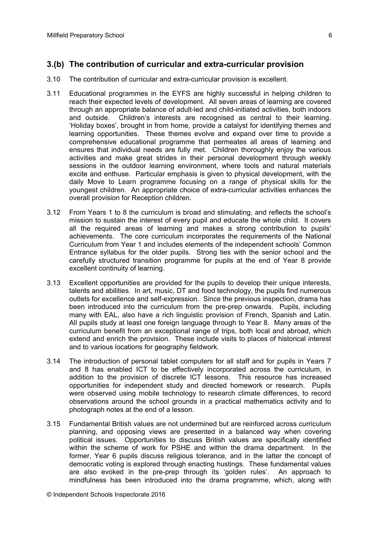# **3.(b) The contribution of curricular and extra-curricular provision**

- 3.10 The contribution of curricular and extra-curricular provision is excellent.
- 3.11 Educational programmes in the EYFS are highly successful in helping children to reach their expected levels of development. All seven areas of learning are covered through an appropriate balance of adult-led and child-initiated activities, both indoors and outside. Children's interests are recognised as central to their learning. 'Holiday boxes', brought in from home, provide a catalyst for identifying themes and learning opportunities. These themes evolve and expand over time to provide a comprehensive educational programme that permeates all areas of learning and ensures that individual needs are fully met. Children thoroughly enjoy the various activities and make great strides in their personal development through weekly sessions in the outdoor learning environment, where tools and natural materials excite and enthuse. Particular emphasis is given to physical development, with the daily Move to Learn programme focusing on a range of physical skills for the youngest children. An appropriate choice of extra-curricular activities enhances the overall provision for Reception children.
- 3.12 From Years 1 to 8 the curriculum is broad and stimulating, and reflects the school's mission to sustain the interest of every pupil and educate the whole child. It covers all the required areas of learning and makes a strong contribution to pupils' achievements. The core curriculum incorporates the requirements of the National Curriculum from Year 1 and includes elements of the independent schools' Common Entrance syllabus for the older pupils. Strong ties with the senior school and the carefully structured transition programme for pupils at the end of Year 8 provide excellent continuity of learning.
- 3.13 Excellent opportunities are provided for the pupils to develop their unique interests, talents and abilities. In art, music, DT and food technology, the pupils find numerous outlets for excellence and self-expression. Since the previous inspection, drama has been introduced into the curriculum from the pre-prep onwards. Pupils, including many with EAL, also have a rich linguistic provision of French, Spanish and Latin. All pupils study at least one foreign language through to Year 8. Many areas of the curriculum benefit from an exceptional range of trips, both local and abroad, which extend and enrich the provision. These include visits to places of historical interest and to various locations for geography fieldwork.
- 3.14 The introduction of personal tablet computers for all staff and for pupils in Years 7 and 8 has enabled ICT to be effectively incorporated across the curriculum, in addition to the provision of discrete ICT lessons. This resource has increased opportunities for independent study and directed homework or research. Pupils were observed using mobile technology to research climate differences, to record observations around the school grounds in a practical mathematics activity and to photograph notes at the end of a lesson.
- 3.15 Fundamental British values are not undermined but are reinforced across curriculum planning, and opposing views are presented in a balanced way when covering political issues. Opportunities to discuss British values are specifically identified within the scheme of work for PSHE and within the drama department. In the former, Year 6 pupils discuss religious tolerance, and in the latter the concept of democratic voting is explored through enacting hustings. These fundamental values are also evoked in the pre-prep through its 'golden rules'. An approach to mindfulness has been introduced into the drama programme, which, along with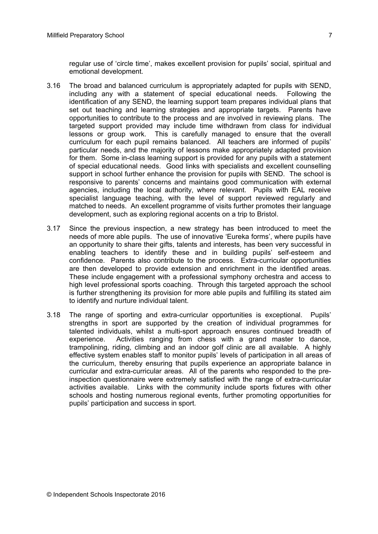- 3.16 The broad and balanced curriculum is appropriately adapted for pupils with SEND, including any with a statement of special educational needs. Following the identification of any SEND, the learning support team prepares individual plans that set out teaching and learning strategies and appropriate targets. Parents have opportunities to contribute to the process and are involved in reviewing plans. The targeted support provided may include time withdrawn from class for individual lessons or group work. This is carefully managed to ensure that the overall curriculum for each pupil remains balanced. All teachers are informed of pupils' particular needs, and the majority of lessons make appropriately adapted provision for them. Some in-class learning support is provided for any pupils with a statement of special educational needs. Good links with specialists and excellent counselling support in school further enhance the provision for pupils with SEND. The school is responsive to parents' concerns and maintains good communication with external agencies, including the local authority, where relevant. Pupils with EAL receive specialist language teaching, with the level of support reviewed regularly and matched to needs. An excellent programme of visits further promotes their language development, such as exploring regional accents on a trip to Bristol.
- 3.17 Since the previous inspection, a new strategy has been introduced to meet the needs of more able pupils. The use of innovative 'Eureka forms', where pupils have an opportunity to share their gifts, talents and interests, has been very successful in enabling teachers to identify these and in building pupils' self-esteem and confidence. Parents also contribute to the process. Extra-curricular opportunities are then developed to provide extension and enrichment in the identified areas. These include engagement with a professional symphony orchestra and access to high level professional sports coaching. Through this targeted approach the school is further strengthening its provision for more able pupils and fulfilling its stated aim to identify and nurture individual talent.
- 3.18 The range of sporting and extra-curricular opportunities is exceptional. Pupils' strengths in sport are supported by the creation of individual programmes for talented individuals, whilst a multi-sport approach ensures continued breadth of experience. Activities ranging from chess with a grand master to dance, trampolining, riding, climbing and an indoor golf clinic are all available. A highly effective system enables staff to monitor pupils' levels of participation in all areas of the curriculum, thereby ensuring that pupils experience an appropriate balance in curricular and extra-curricular areas. All of the parents who responded to the preinspection questionnaire were extremely satisfied with the range of extra-curricular activities available. Links with the community include sports fixtures with other schools and hosting numerous regional events, further promoting opportunities for pupils' participation and success in sport.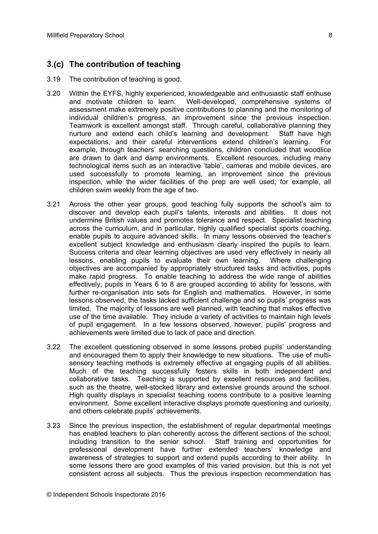# **3.(c) The contribution of teaching**

- 3.19 The contribution of teaching is good.
- 3.20 Within the EYFS, highly experienced, knowledgeable and enthusiastic staff enthuse and motivate children to learn. Well-developed, comprehensive systems of assessment make extremely positive contributions to planning and the monitoring of individual children's progress, an improvement since the previous inspection. Teamwork is excellent amongst staff. Through careful, collaborative planning they nurture and extend each child's learning and development. Staff have high expectations, and their careful interventions extend children's learning. For example, through teachers' searching questions, children concluded that woodlice are drawn to dark and damp environments. Excellent resources, including many technological items such as an interactive 'table', cameras and mobile devices, are used successfully to promote learning, an improvement since the previous inspection, while the wider facilities of the prep are well used; for example, all children swim weekly from the age of two.
- 3.21 Across the other year groups, good teaching fully supports the school's aim to discover and develop each pupil's talents, interests and abilities. It does not undermine British values and promotes tolerance and respect. Specialist teaching across the curriculum, and in particular, highly qualified specialist sports coaching, enable pupils to acquire advanced skills. In many lessons observed the teacher's excellent subject knowledge and enthusiasm clearly inspired the pupils to learn. Success criteria and clear learning objectives are used very effectively in nearly all lessons, enabling pupils to evaluate their own learning. Where challenging objectives are accompanied by appropriately structured tasks and activities, pupils make rapid progress. To enable teaching to address the wide range of abilities effectively, pupils in Years 6 to 8 are grouped according to ability for lessons, with further re-organisation into sets for English and mathematics. However, in some lessons observed, the tasks lacked sufficient challenge and so pupils' progress was limited. The majority of lessons are well planned, with teaching that makes effective use of the time available. They include a variety of activities to maintain high levels of pupil engagement. In a few lessons observed, however, pupils' progress and achievements were limited due to lack of pace and direction.
- 3.22 The excellent questioning observed in some lessons probed pupils' understanding and encouraged them to apply their knowledge to new situations. The use of multisensory teaching methods is extremely effective at engaging pupils of all abilities. Much of the teaching successfully fosters skills in both independent and collaborative tasks. Teaching is supported by excellent resources and facilities, such as the theatre, well-stocked library and extensive grounds around the school. High quality displays in specialist teaching rooms contribute to a positive learning environment. Some excellent interactive displays promote questioning and curiosity, and others celebrate pupils' achievements.
- 3.23 Since the previous inspection, the establishment of regular departmental meetings has enabled teachers to plan coherently across the different sections of the school, including transition to the senior school. Staff training and opportunities for professional development have further extended teachers' knowledge and awareness of strategies to support and extend pupils according to their ability. In some lessons there are good examples of this varied provision, but this is not yet consistent across all subjects. Thus the previous inspection recommendation has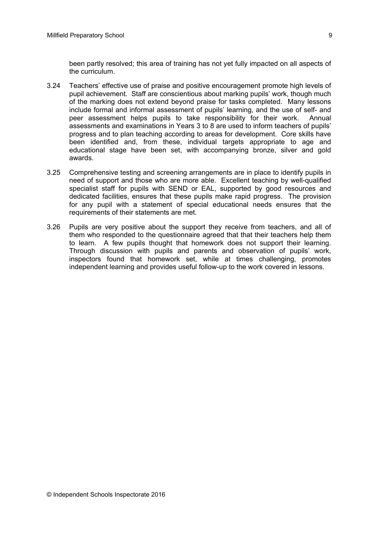been partly resolved; this area of training has not yet fully impacted on all aspects of the curriculum.

- 3.24 Teachers' effective use of praise and positive encouragement promote high levels of pupil achievement. Staff are conscientious about marking pupils' work, though much of the marking does not extend beyond praise for tasks completed. Many lessons include formal and informal assessment of pupils' learning, and the use of self- and peer assessment helps pupils to take responsibility for their work. Annual assessments and examinations in Years 3 to 8 are used to inform teachers of pupils' progress and to plan teaching according to areas for development. Core skills have been identified and, from these, individual targets appropriate to age and educational stage have been set, with accompanying bronze, silver and gold awards.
- 3.25 Comprehensive testing and screening arrangements are in place to identify pupils in need of support and those who are more able. Excellent teaching by well-qualified specialist staff for pupils with SEND or EAL, supported by good resources and dedicated facilities, ensures that these pupils make rapid progress. The provision for any pupil with a statement of special educational needs ensures that the requirements of their statements are met.
- 3.26 Pupils are very positive about the support they receive from teachers, and all of them who responded to the questionnaire agreed that that their teachers help them to learn. A few pupils thought that homework does not support their learning. Through discussion with pupils and parents and observation of pupils' work, inspectors found that homework set, while at times challenging, promotes independent learning and provides useful follow-up to the work covered in lessons.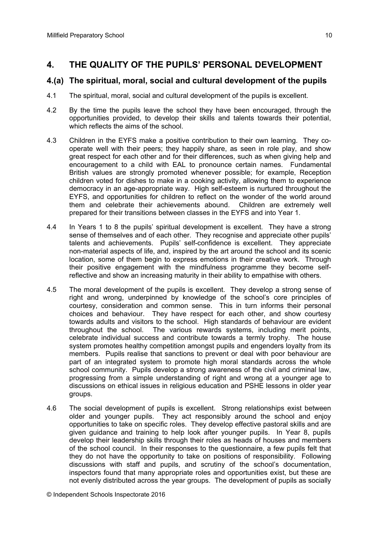# **4. THE QUALITY OF THE PUPILS' PERSONAL DEVELOPMENT**

#### **4.(a) The spiritual, moral, social and cultural development of the pupils**

- 4.1 The spiritual, moral, social and cultural development of the pupils is excellent.
- 4.2 By the time the pupils leave the school they have been encouraged, through the opportunities provided, to develop their skills and talents towards their potential, which reflects the aims of the school.
- 4.3 Children in the EYFS make a positive contribution to their own learning. They cooperate well with their peers; they happily share, as seen in role play, and show great respect for each other and for their differences, such as when giving help and encouragement to a child with EAL to pronounce certain names. Fundamental British values are strongly promoted whenever possible; for example, Reception children voted for dishes to make in a cooking activity, allowing them to experience democracy in an age-appropriate way. High self-esteem is nurtured throughout the EYFS, and opportunities for children to reflect on the wonder of the world around them and celebrate their achievements abound. Children are extremely well prepared for their transitions between classes in the EYFS and into Year 1.
- 4.4 In Years 1 to 8 the pupils' spiritual development is excellent. They have a strong sense of themselves and of each other. They recognise and appreciate other pupils' talents and achievements. Pupils' self-confidence is excellent. They appreciate non-material aspects of life, and, inspired by the art around the school and its scenic location, some of them begin to express emotions in their creative work. Through their positive engagement with the mindfulness programme they become selfreflective and show an increasing maturity in their ability to empathise with others.
- 4.5 The moral development of the pupils is excellent. They develop a strong sense of right and wrong, underpinned by knowledge of the school's core principles of courtesy, consideration and common sense. This in turn informs their personal choices and behaviour. They have respect for each other, and show courtesy towards adults and visitors to the school. High standards of behaviour are evident throughout the school. The various rewards systems, including merit points, celebrate individual success and contribute towards a termly trophy. The house system promotes healthy competition amongst pupils and engenders loyalty from its members. Pupils realise that sanctions to prevent or deal with poor behaviour are part of an integrated system to promote high moral standards across the whole school community. Pupils develop a strong awareness of the civil and criminal law, progressing from a simple understanding of right and wrong at a younger age to discussions on ethical issues in religious education and PSHE lessons in older year groups.
- 4.6 The social development of pupils is excellent. Strong relationships exist between older and younger pupils. They act responsibly around the school and enjoy opportunities to take on specific roles. They develop effective pastoral skills and are given guidance and training to help look after younger pupils. In Year 8, pupils develop their leadership skills through their roles as heads of houses and members of the school council. In their responses to the questionnaire, a few pupils felt that they do not have the opportunity to take on positions of responsibility. Following discussions with staff and pupils, and scrutiny of the school's documentation, inspectors found that many appropriate roles and opportunities exist, but these are not evenly distributed across the year groups. The development of pupils as socially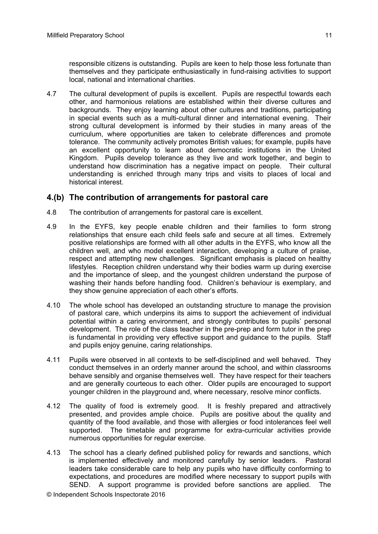4.7 The cultural development of pupils is excellent. Pupils are respectful towards each other, and harmonious relations are established within their diverse cultures and backgrounds. They enjoy learning about other cultures and traditions, participating in special events such as a multi-cultural dinner and international evening. Their strong cultural development is informed by their studies in many areas of the curriculum, where opportunities are taken to celebrate differences and promote tolerance. The community actively promotes British values; for example, pupils have an excellent opportunity to learn about democratic institutions in the United Kingdom. Pupils develop tolerance as they live and work together, and begin to understand how discrimination has a negative impact on people. Their cultural understanding is enriched through many trips and visits to places of local and historical interest.

# **4.(b) The contribution of arrangements for pastoral care**

- 4.8 The contribution of arrangements for pastoral care is excellent.
- 4.9 In the EYFS, key people enable children and their families to form strong relationships that ensure each child feels safe and secure at all times. Extremely positive relationships are formed with all other adults in the EYFS, who know all the children well, and who model excellent interaction, developing a culture of praise, respect and attempting new challenges. Significant emphasis is placed on healthy lifestyles. Reception children understand why their bodies warm up during exercise and the importance of sleep, and the youngest children understand the purpose of washing their hands before handling food. Children's behaviour is exemplary, and they show genuine appreciation of each other's efforts.
- 4.10 The whole school has developed an outstanding structure to manage the provision of pastoral care, which underpins its aims to support the achievement of individual potential within a caring environment, and strongly contributes to pupils' personal development. The role of the class teacher in the pre-prep and form tutor in the prep is fundamental in providing very effective support and guidance to the pupils. Staff and pupils enjoy genuine, caring relationships.
- 4.11 Pupils were observed in all contexts to be self-disciplined and well behaved. They conduct themselves in an orderly manner around the school, and within classrooms behave sensibly and organise themselves well. They have respect for their teachers and are generally courteous to each other. Older pupils are encouraged to support younger children in the playground and, where necessary, resolve minor conflicts.
- 4.12 The quality of food is extremely good. It is freshly prepared and attractively presented, and provides ample choice. Pupils are positive about the quality and quantity of the food available, and those with allergies or food intolerances feel well supported. The timetable and programme for extra-curricular activities provide numerous opportunities for regular exercise.
- 4.13 The school has a clearly defined published policy for rewards and sanctions, which is implemented effectively and monitored carefully by senior leaders. Pastoral leaders take considerable care to help any pupils who have difficulty conforming to expectations, and procedures are modified where necessary to support pupils with SEND. A support programme is provided before sanctions are applied. The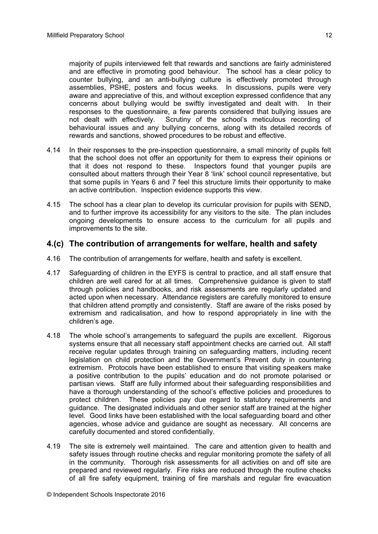majority of pupils interviewed felt that rewards and sanctions are fairly administered and are effective in promoting good behaviour. The school has a clear policy to counter bullying, and an anti-bullying culture is effectively promoted through assemblies, PSHE, posters and focus weeks. In discussions, pupils were very aware and appreciative of this, and without exception expressed confidence that any concerns about bullying would be swiftly investigated and dealt with. In their responses to the questionnaire, a few parents considered that bullying issues are not dealt with effectively. Scrutiny of the school's meticulous recording of behavioural issues and any bullying concerns, along with its detailed records of rewards and sanctions, showed procedures to be robust and effective.

- 4.14 In their responses to the pre-inspection questionnaire, a small minority of pupils felt that the school does not offer an opportunity for them to express their opinions or that it does not respond to these. Inspectors found that younger pupils are consulted about matters through their Year 8 'link' school council representative, but that some pupils in Years 6 and 7 feel this structure limits their opportunity to make an active contribution. Inspection evidence supports this view.
- 4.15 The school has a clear plan to develop its curricular provision for pupils with SEND, and to further improve its accessibility for any visitors to the site. The plan includes ongoing developments to ensure access to the curriculum for all pupils and improvements to the site.

#### **4.(c) The contribution of arrangements for welfare, health and safety**

- 4.16 The contribution of arrangements for welfare, health and safety is excellent.
- 4.17 Safeguarding of children in the EYFS is central to practice, and all staff ensure that children are well cared for at all times. Comprehensive guidance is given to staff through policies and handbooks, and risk assessments are regularly updated and acted upon when necessary. Attendance registers are carefully monitored to ensure that children attend promptly and consistently. Staff are aware of the risks posed by extremism and radicalisation, and how to respond appropriately in line with the children's age.
- 4.18 The whole school's arrangements to safeguard the pupils are excellent. Rigorous systems ensure that all necessary staff appointment checks are carried out. All staff receive regular updates through training on safeguarding matters, including recent legislation on child protection and the Government's Prevent duty in countering extremism. Protocols have been established to ensure that visiting speakers make a positive contribution to the pupils' education and do not promote polarised or partisan views. Staff are fully informed about their safeguarding responsibilities and have a thorough understanding of the school's effective policies and procedures to protect children. These policies pay due regard to statutory requirements and guidance. The designated individuals and other senior staff are trained at the higher level. Good links have been established with the local safeguarding board and other agencies, whose advice and guidance are sought as necessary. All concerns are carefully documented and stored confidentially.
- 4.19 The site is extremely well maintained. The care and attention given to health and safety issues through routine checks and regular monitoring promote the safety of all in the community. Thorough risk assessments for all activities on and off site are prepared and reviewed regularly. Fire risks are reduced through the routine checks of all fire safety equipment, training of fire marshals and regular fire evacuation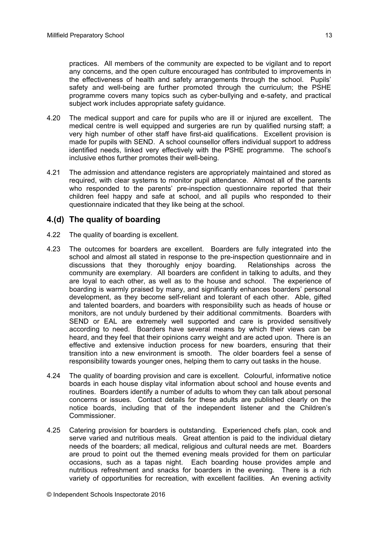practices. All members of the community are expected to be vigilant and to report any concerns, and the open culture encouraged has contributed to improvements in the effectiveness of health and safety arrangements through the school. Pupils' safety and well-being are further promoted through the curriculum; the PSHE programme covers many topics such as cyber-bullying and e-safety, and practical subject work includes appropriate safety guidance.

- 4.20 The medical support and care for pupils who are ill or injured are excellent. The medical centre is well equipped and surgeries are run by qualified nursing staff; a very high number of other staff have first-aid qualifications. Excellent provision is made for pupils with SEND. A school counsellor offers individual support to address identified needs, linked very effectively with the PSHE programme. The school's inclusive ethos further promotes their well-being.
- 4.21 The admission and attendance registers are appropriately maintained and stored as required, with clear systems to monitor pupil attendance. Almost all of the parents who responded to the parents' pre-inspection questionnaire reported that their children feel happy and safe at school, and all pupils who responded to their questionnaire indicated that they like being at the school.

# **4.(d) The quality of boarding**

- 4.22 The quality of boarding is excellent.
- 4.23 The outcomes for boarders are excellent. Boarders are fully integrated into the school and almost all stated in response to the pre-inspection questionnaire and in discussions that they thoroughly enjoy boarding. Relationships across the community are exemplary. All boarders are confident in talking to adults, and they are loyal to each other, as well as to the house and school. The experience of boarding is warmly praised by many, and significantly enhances boarders' personal development, as they become self-reliant and tolerant of each other. Able, gifted and talented boarders, and boarders with responsibility such as heads of house or monitors, are not unduly burdened by their additional commitments. Boarders with SEND or EAL are extremely well supported and care is provided sensitively according to need. Boarders have several means by which their views can be heard, and they feel that their opinions carry weight and are acted upon. There is an effective and extensive induction process for new boarders, ensuring that their transition into a new environment is smooth. The older boarders feel a sense of responsibility towards younger ones, helping them to carry out tasks in the house.
- 4.24 The quality of boarding provision and care is excellent. Colourful, informative notice boards in each house display vital information about school and house events and routines. Boarders identify a number of adults to whom they can talk about personal concerns or issues. Contact details for these adults are published clearly on the notice boards, including that of the independent listener and the Children's Commissioner.
- 4.25 Catering provision for boarders is outstanding. Experienced chefs plan, cook and serve varied and nutritious meals. Great attention is paid to the individual dietary needs of the boarders; all medical, religious and cultural needs are met. Boarders are proud to point out the themed evening meals provided for them on particular occasions, such as a tapas night. Each boarding house provides ample and nutritious refreshment and snacks for boarders in the evening. There is a rich variety of opportunities for recreation, with excellent facilities. An evening activity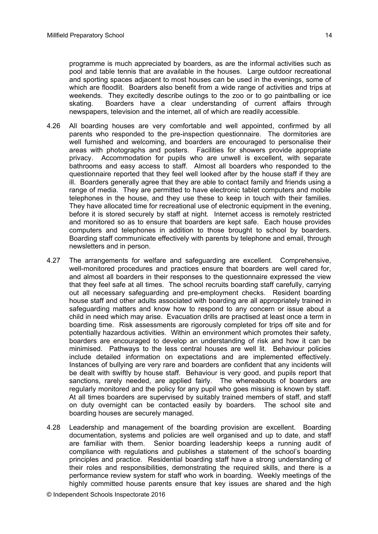programme is much appreciated by boarders, as are the informal activities such as pool and table tennis that are available in the houses. Large outdoor recreational and sporting spaces adjacent to most houses can be used in the evenings, some of which are floodlit. Boarders also benefit from a wide range of activities and trips at weekends. They excitedly describe outings to the zoo or to go paintballing or ice skating. Boarders have a clear understanding of current affairs through newspapers, television and the internet, all of which are readily accessible.

- 4.26 All boarding houses are very comfortable and well appointed, confirmed by all parents who responded to the pre-inspection questionnaire. The dormitories are well furnished and welcoming, and boarders are encouraged to personalise their areas with photographs and posters. Facilities for showers provide appropriate privacy. Accommodation for pupils who are unwell is excellent, with separate bathrooms and easy access to staff. Almost all boarders who responded to the questionnaire reported that they feel well looked after by the house staff if they are ill. Boarders generally agree that they are able to contact family and friends using a range of media. They are permitted to have electronic tablet computers and mobile telephones in the house, and they use these to keep in touch with their families. They have allocated time for recreational use of electronic equipment in the evening, before it is stored securely by staff at night. Internet access is remotely restricted and monitored so as to ensure that boarders are kept safe. Each house provides computers and telephones in addition to those brought to school by boarders. Boarding staff communicate effectively with parents by telephone and email, through newsletters and in person.
- 4.27 The arrangements for welfare and safeguarding are excellent. Comprehensive, well-monitored procedures and practices ensure that boarders are well cared for, and almost all boarders in their responses to the questionnaire expressed the view that they feel safe at all times. The school recruits boarding staff carefully, carrying out all necessary safeguarding and pre-employment checks. Resident boarding house staff and other adults associated with boarding are all appropriately trained in safeguarding matters and know how to respond to any concern or issue about a child in need which may arise. Evacuation drills are practised at least once a term in boarding time. Risk assessments are rigorously completed for trips off site and for potentially hazardous activities. Within an environment which promotes their safety, boarders are encouraged to develop an understanding of risk and how it can be minimised. Pathways to the less central houses are well lit. Behaviour policies include detailed information on expectations and are implemented effectively. Instances of bullying are very rare and boarders are confident that any incidents will be dealt with swiftly by house staff. Behaviour is very good, and pupils report that sanctions, rarely needed, are applied fairly. The whereabouts of boarders are regularly monitored and the policy for any pupil who goes missing is known by staff. At all times boarders are supervised by suitably trained members of staff, and staff on duty overnight can be contacted easily by boarders. The school site and boarding houses are securely managed.
- 4.28 Leadership and management of the boarding provision are excellent. Boarding documentation, systems and policies are well organised and up to date, and staff are familiar with them. Senior boarding leadership keeps a running audit of compliance with regulations and publishes a statement of the school's boarding principles and practice. Residential boarding staff have a strong understanding of their roles and responsibilities, demonstrating the required skills, and there is a performance review system for staff who work in boarding. Weekly meetings of the highly committed house parents ensure that key issues are shared and the high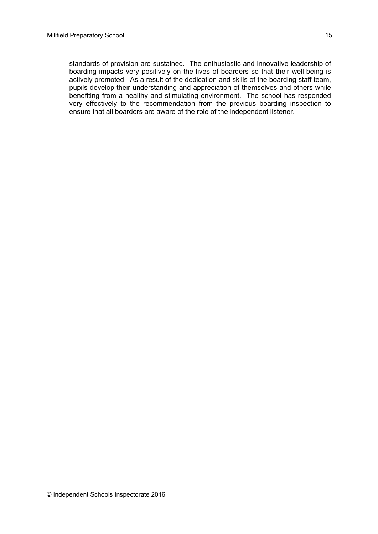standards of provision are sustained. The enthusiastic and innovative leadership of boarding impacts very positively on the lives of boarders so that their well-being is actively promoted. As a result of the dedication and skills of the boarding staff team, pupils develop their understanding and appreciation of themselves and others while benefiting from a healthy and stimulating environment. The school has responded very effectively to the recommendation from the previous boarding inspection to ensure that all boarders are aware of the role of the independent listener.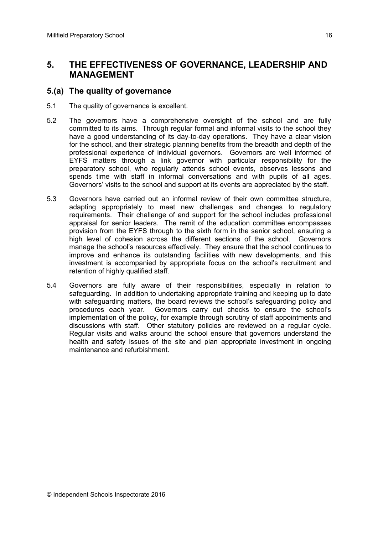# **5. THE EFFECTIVENESS OF GOVERNANCE, LEADERSHIP AND MANAGEMENT**

# **5.(a) The quality of governance**

- 5.1 The quality of governance is excellent.
- 5.2 The governors have a comprehensive oversight of the school and are fully committed to its aims. Through regular formal and informal visits to the school they have a good understanding of its day-to-day operations. They have a clear vision for the school, and their strategic planning benefits from the breadth and depth of the professional experience of individual governors. Governors are well informed of EYFS matters through a link governor with particular responsibility for the preparatory school, who regularly attends school events, observes lessons and spends time with staff in informal conversations and with pupils of all ages. Governors' visits to the school and support at its events are appreciated by the staff.
- 5.3 Governors have carried out an informal review of their own committee structure, adapting appropriately to meet new challenges and changes to regulatory requirements. Their challenge of and support for the school includes professional appraisal for senior leaders. The remit of the education committee encompasses provision from the EYFS through to the sixth form in the senior school, ensuring a high level of cohesion across the different sections of the school. Governors manage the school's resources effectively. They ensure that the school continues to improve and enhance its outstanding facilities with new developments, and this investment is accompanied by appropriate focus on the school's recruitment and retention of highly qualified staff.
- 5.4 Governors are fully aware of their responsibilities, especially in relation to safeguarding. In addition to undertaking appropriate training and keeping up to date with safeguarding matters, the board reviews the school's safeguarding policy and procedures each year. Governors carry out checks to ensure the school's implementation of the policy, for example through scrutiny of staff appointments and discussions with staff. Other statutory policies are reviewed on a regular cycle. Regular visits and walks around the school ensure that governors understand the health and safety issues of the site and plan appropriate investment in ongoing maintenance and refurbishment.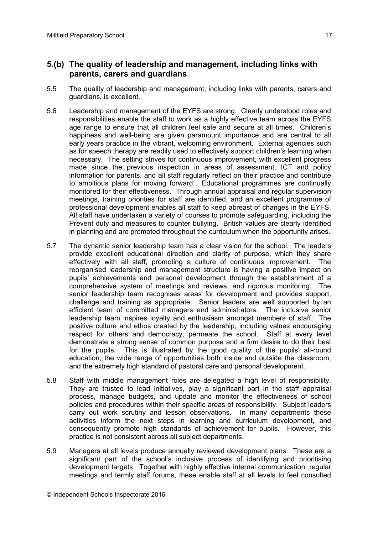### **5.(b) The quality of leadership and management, including links with parents, carers and guardians**

- 5.5 The quality of leadership and management, including links with parents, carers and guardians, is excellent.
- 5.6 Leadership and management of the EYFS are strong. Clearly understood roles and responsibilities enable the staff to work as a highly effective team across the EYFS age range to ensure that all children feel safe and secure at all times. Children's happiness and well-being are given paramount importance and are central to all early years practice in the vibrant, welcoming environment. External agencies such as for speech therapy are readily used to effectively support children's learning when necessary. The setting strives for continuous improvement, with excellent progress made since the previous inspection in areas of assessment, ICT and policy information for parents, and all staff regularly reflect on their practice and contribute to ambitious plans for moving forward. Educational programmes are continually monitored for their effectiveness. Through annual appraisal and regular supervision meetings, training priorities for staff are identified, and an excellent programme of professional development enables all staff to keep abreast of changes in the EYFS. All staff have undertaken a variety of courses to promote safeguarding, including the Prevent duty and measures to counter bullying. British values are clearly identified in planning and are promoted throughout the curriculum when the opportunity arises.
- 5.7 The dynamic senior leadership team has a clear vision for the school. The leaders provide excellent educational direction and clarity of purpose, which they share effectively with all staff, promoting a culture of continuous improvement. The reorganised leadership and management structure is having a positive impact on pupils' achievements and personal development through the establishment of a comprehensive system of meetings and reviews, and rigorous monitoring. The senior leadership team recognises areas for development and provides support, challenge and training as appropriate. Senior leaders are well supported by an efficient team of committed managers and administrators. The inclusive senior leadership team inspires loyalty and enthusiasm amongst members of staff. The positive culture and ethos created by the leadership, including values encouraging respect for others and democracy, permeate the school. Staff at every level demonstrate a strong sense of common purpose and a firm desire to do their best for the pupils. This is illustrated by the good quality of the pupils' all-round education, the wide range of opportunities both inside and outside the classroom, and the extremely high standard of pastoral care and personal development.
- 5.8 Staff with middle management roles are delegated a high level of responsibility. They are trusted to lead initiatives, play a significant part in the staff appraisal process, manage budgets, and update and monitor the effectiveness of school policies and procedures within their specific areas of responsibility. Subject leaders carry out work scrutiny and lesson observations. In many departments these activities inform the next steps in learning and curriculum development, and consequently promote high standards of achievement for pupils. However, this practice is not consistent across all subject departments.
- 5.9 Managers at all levels produce annually reviewed development plans. These are a significant part of the school's inclusive process of identifying and prioritising development targets. Together with highly effective internal communication, regular meetings and termly staff forums, these enable staff at all levels to feel consulted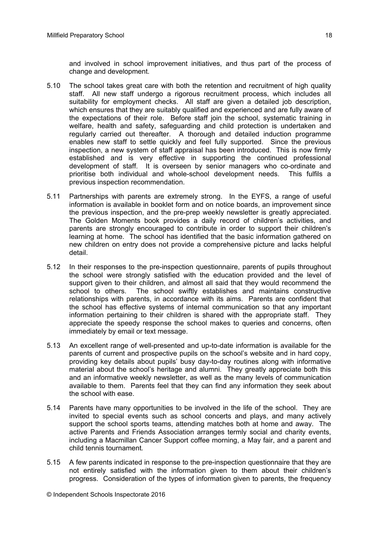and involved in school improvement initiatives, and thus part of the process of change and development.

- 5.10 The school takes great care with both the retention and recruitment of high quality staff. All new staff undergo a rigorous recruitment process, which includes all suitability for employment checks. All staff are given a detailed job description, which ensures that they are suitably qualified and experienced and are fully aware of the expectations of their role. Before staff join the school, systematic training in welfare, health and safety, safeguarding and child protection is undertaken and regularly carried out thereafter. A thorough and detailed induction programme enables new staff to settle quickly and feel fully supported. Since the previous inspection, a new system of staff appraisal has been introduced. This is now firmly established and is very effective in supporting the continued professional development of staff. It is overseen by senior managers who co-ordinate and prioritise both individual and whole-school development needs. This fulfils a previous inspection recommendation.
- 5.11 Partnerships with parents are extremely strong. In the EYFS, a range of useful information is available in booklet form and on notice boards, an improvement since the previous inspection, and the pre-prep weekly newsletter is greatly appreciated. The Golden Moments book provides a daily record of children's activities, and parents are strongly encouraged to contribute in order to support their children's learning at home. The school has identified that the basic information gathered on new children on entry does not provide a comprehensive picture and lacks helpful detail.
- 5.12 In their responses to the pre-inspection questionnaire, parents of pupils throughout the school were strongly satisfied with the education provided and the level of support given to their children, and almost all said that they would recommend the school to others. The school swiftly establishes and maintains constructive relationships with parents, in accordance with its aims. Parents are confident that the school has effective systems of internal communication so that any important information pertaining to their children is shared with the appropriate staff. They appreciate the speedy response the school makes to queries and concerns, often immediately by email or text message.
- 5.13 An excellent range of well-presented and up-to-date information is available for the parents of current and prospective pupils on the school's website and in hard copy, providing key details about pupils' busy day-to-day routines along with informative material about the school's heritage and alumni. They greatly appreciate both this and an informative weekly newsletter, as well as the many levels of communication available to them. Parents feel that they can find any information they seek about the school with ease.
- 5.14 Parents have many opportunities to be involved in the life of the school. They are invited to special events such as school concerts and plays, and many actively support the school sports teams, attending matches both at home and away. The active Parents and Friends Association arranges termly social and charity events, including a Macmillan Cancer Support coffee morning, a May fair, and a parent and child tennis tournament*.*
- 5.15 A few parents indicated in response to the pre-inspection questionnaire that they are not entirely satisfied with the information given to them about their children's progress. Consideration of the types of information given to parents, the frequency